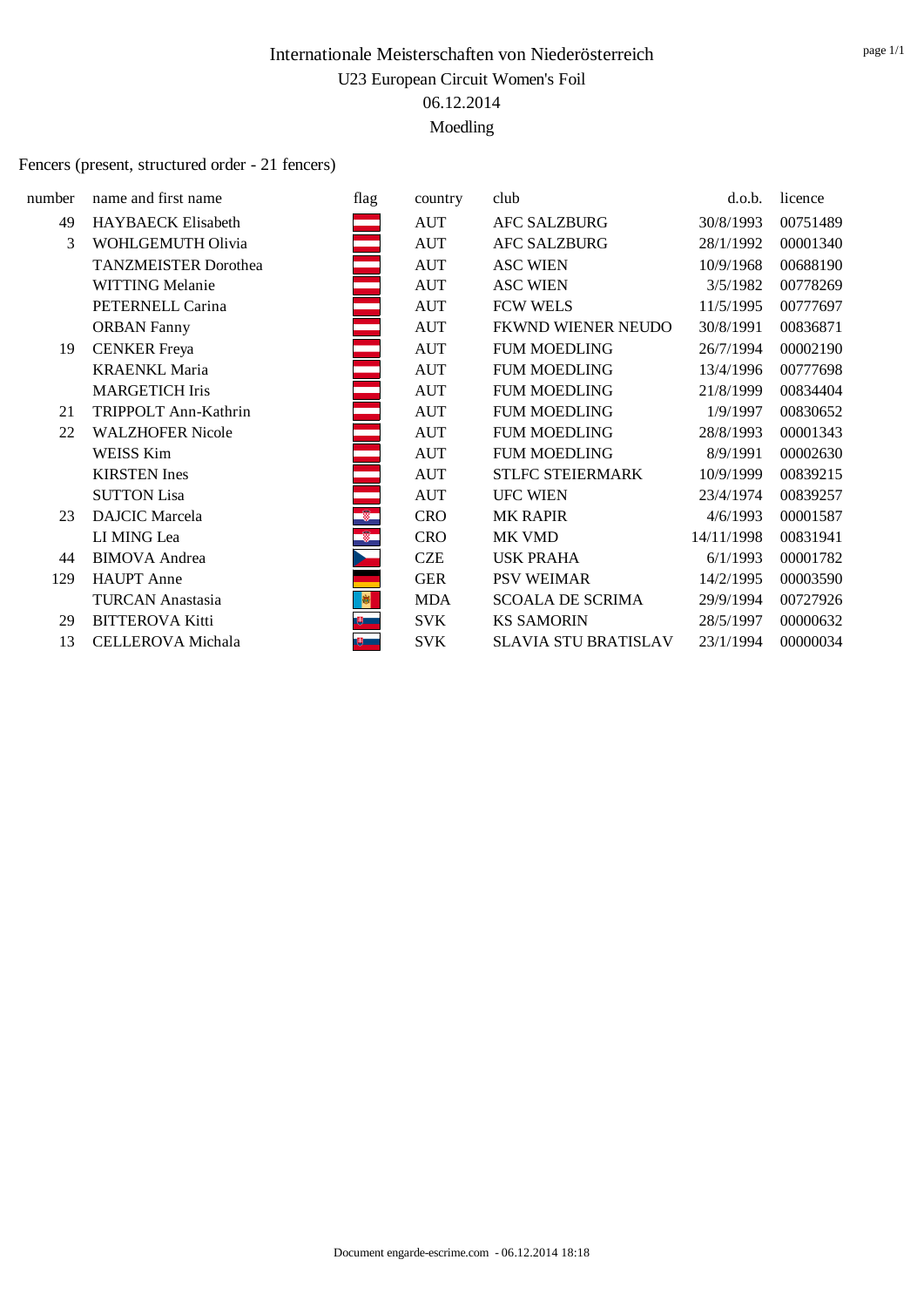#### Fencers (present, structured order - 21 fencers)

| number | name and first name         | flag       | country    | club                        | d.o.b.     | licence  |
|--------|-----------------------------|------------|------------|-----------------------------|------------|----------|
| 49     | <b>HAYBAECK Elisabeth</b>   |            | AUT        | <b>AFC SALZBURG</b>         | 30/8/1993  | 00751489 |
| 3      | WOHLGEMUTH Olivia           |            | <b>AUT</b> | <b>AFC SALZBURG</b>         | 28/1/1992  | 00001340 |
|        | <b>TANZMEISTER Dorothea</b> |            | <b>AUT</b> | <b>ASC WIEN</b>             | 10/9/1968  | 00688190 |
|        | <b>WITTING Melanie</b>      |            | <b>AUT</b> | <b>ASC WIEN</b>             | 3/5/1982   | 00778269 |
|        | PETERNELL Carina            |            | <b>AUT</b> | <b>FCW WELS</b>             | 11/5/1995  | 00777697 |
|        | <b>ORBAN Fanny</b>          |            | <b>AUT</b> | FKWND WIENER NEUDO          | 30/8/1991  | 00836871 |
| 19     | <b>CENKER</b> Freya         |            | <b>AUT</b> | <b>FUM MOEDLING</b>         | 26/7/1994  | 00002190 |
|        | <b>KRAENKL Maria</b>        |            | <b>AUT</b> | <b>FUM MOEDLING</b>         | 13/4/1996  | 00777698 |
|        | <b>MARGETICH Iris</b>       |            | <b>AUT</b> | <b>FUM MOEDLING</b>         | 21/8/1999  | 00834404 |
| 21     | TRIPPOLT Ann-Kathrin        |            | <b>AUT</b> | <b>FUM MOEDLING</b>         | 1/9/1997   | 00830652 |
| 22     | <b>WALZHOFER Nicole</b>     |            | <b>AUT</b> | <b>FUM MOEDLING</b>         | 28/8/1993  | 00001343 |
|        | WEISS Kim                   |            | <b>AUT</b> | <b>FUM MOEDLING</b>         | 8/9/1991   | 00002630 |
|        | <b>KIRSTEN</b> Ines         |            | <b>AUT</b> | <b>STLFC STEIERMARK</b>     | 10/9/1999  | 00839215 |
|        | <b>SUTTON Lisa</b>          |            | <b>AUT</b> | <b>UFC WIEN</b>             | 23/4/1974  | 00839257 |
| 23     | <b>DAJCIC</b> Marcela       | Ş.         | <b>CRO</b> | <b>MK RAPIR</b>             | 4/6/1993   | 00001587 |
|        | LI MING Lea                 | $^{\circ}$ | <b>CRO</b> | MK VMD                      | 14/11/1998 | 00831941 |
| 44     | <b>BIMOVA</b> Andrea        |            | <b>CZE</b> | <b>USK PRAHA</b>            | 6/1/1993   | 00001782 |
| 129    | <b>HAUPT</b> Anne           |            | <b>GER</b> | <b>PSV WEIMAR</b>           | 14/2/1995  | 00003590 |
|        | <b>TURCAN Anastasia</b>     |            | <b>MDA</b> | <b>SCOALA DE SCRIMA</b>     | 29/9/1994  | 00727926 |
| 29     | <b>BITTEROVA Kitti</b>      |            | SVK        | <b>KS SAMORIN</b>           | 28/5/1997  | 00000632 |
| 13     | CELLEROVA Michala           | 嗯          | <b>SVK</b> | <b>SLAVIA STU BRATISLAV</b> | 23/1/1994  | 00000034 |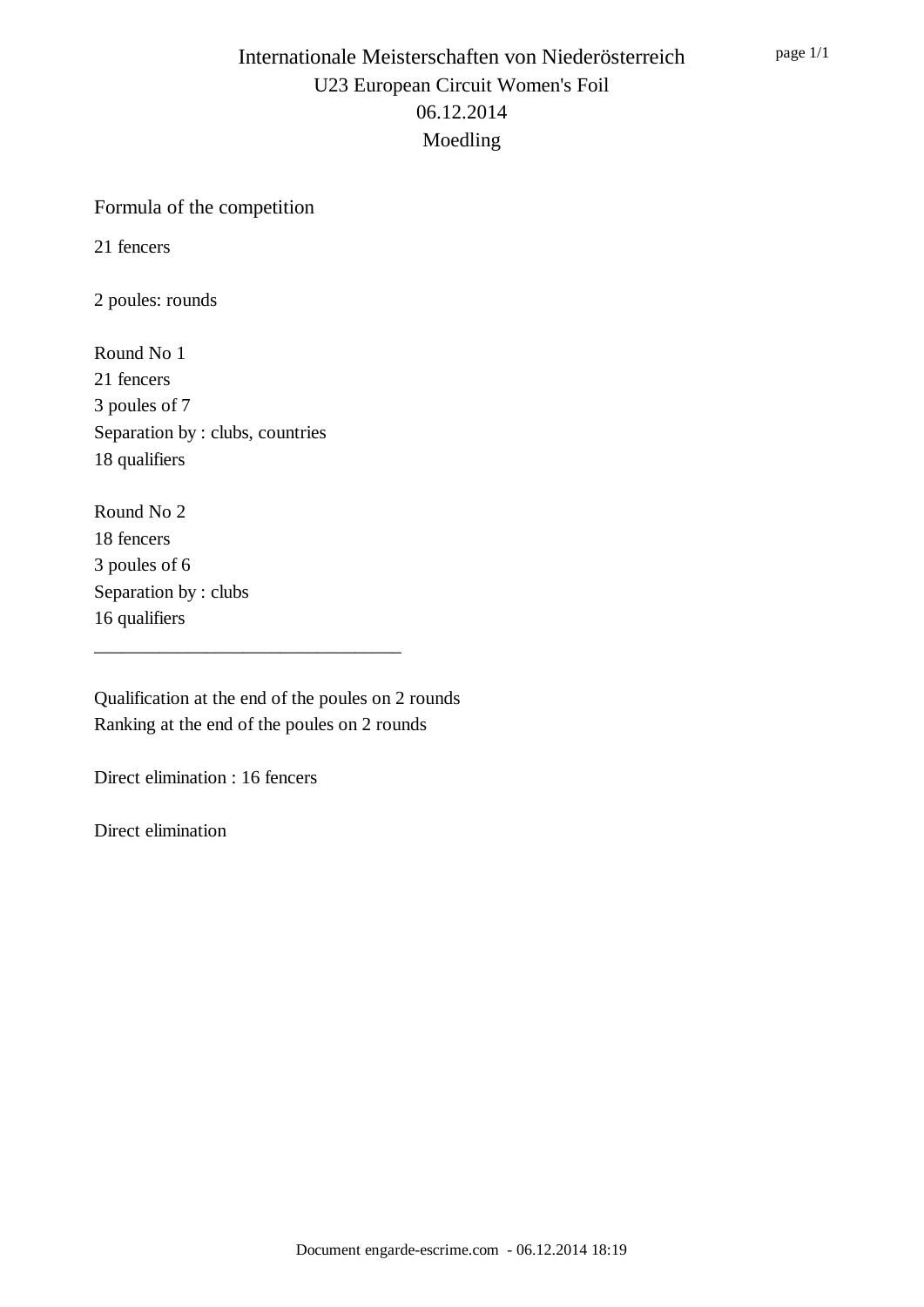#### Formula of the competition

21 fencers

2 poules: rounds

Round No 1 21 fencers 3 poules of 7 Separation by : clubs, countries 18 qualifiers

Round No 2 18 fencers 3 poules of 6 Separation by : clubs 16 qualifiers

Qualification at the end of the poules on 2 rounds Ranking at the end of the poules on 2 rounds

\_\_\_\_\_\_\_\_\_\_\_\_\_\_\_\_\_\_\_\_\_\_\_\_\_\_\_\_\_\_\_\_\_

Direct elimination : 16 fencers

Direct elimination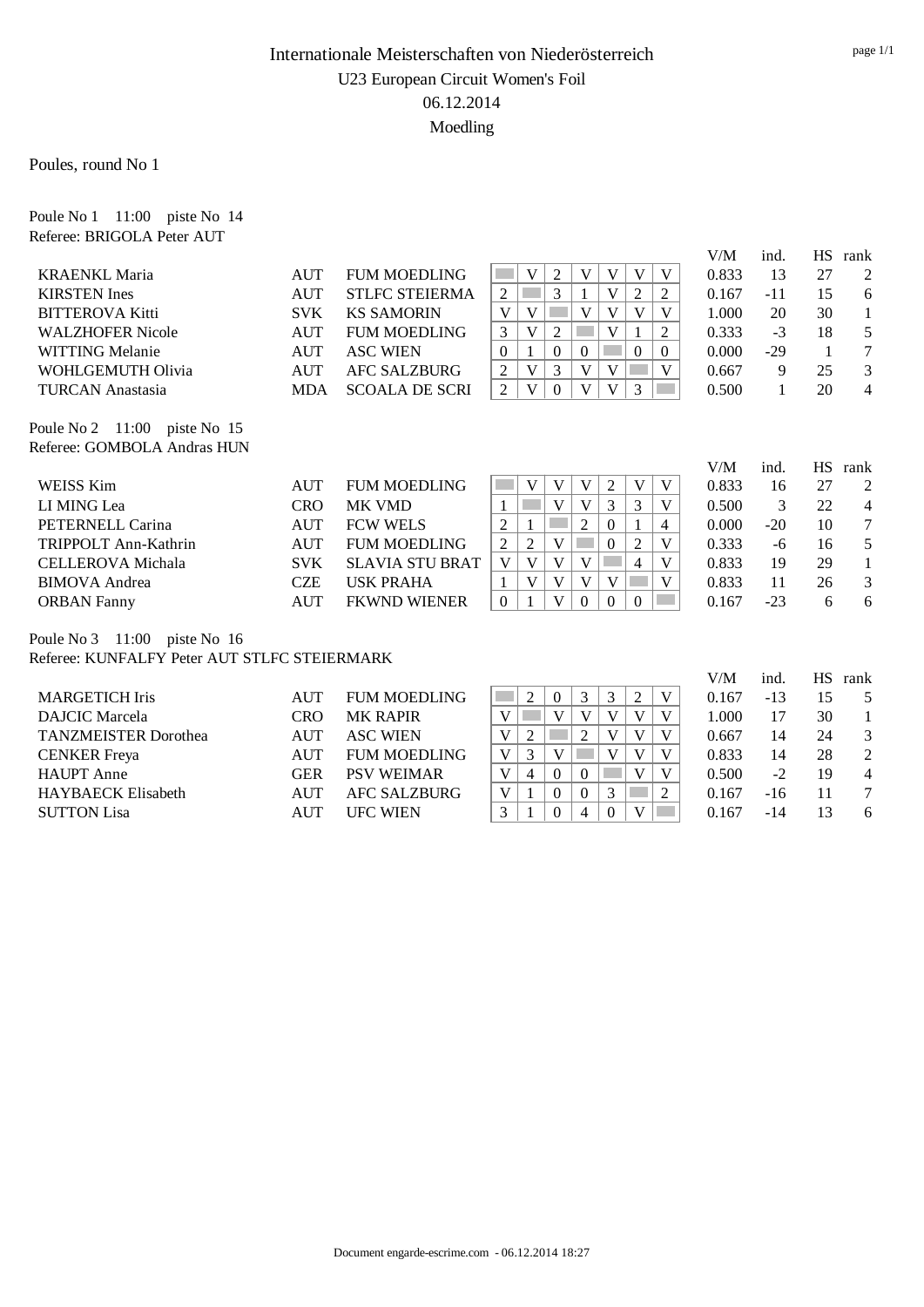Poules, round No 1

Poule No 1 11:00 piste No 14 Referee: BRIGOLA Peter AUT

|                                                             |            |                        |                |                |                |                |                |          |          | V/M   | ind.  | <b>HS</b> | rank   |
|-------------------------------------------------------------|------------|------------------------|----------------|----------------|----------------|----------------|----------------|----------|----------|-------|-------|-----------|--------|
| <b>KRAENKL Maria</b>                                        | AUT        | <b>FUM MOEDLING</b>    |                | V              | $\overline{2}$ | V              | V              | V        | V        | 0.833 | 13    | 27        | 2      |
| <b>KIRSTEN</b> Ines                                         | <b>AUT</b> | <b>STLFC STEIERMA</b>  | 2              |                | 3              |                | V              | 2        | 2        | 0.167 | $-11$ | 15        | 6      |
| <b>BITTEROVA Kitti</b>                                      | <b>SVK</b> | <b>KS SAMORIN</b>      | V              | V              |                | V              | V              | V        | V        | 1.000 | 20    | 30        |        |
| <b>WALZHOFER Nicole</b>                                     | <b>AUT</b> | <b>FUM MOEDLING</b>    | 3              | V              | $\overline{2}$ |                | V              |          | 2        | 0.333 | $-3$  | 18        | 5      |
| WITTING Melanie                                             | <b>AUT</b> | <b>ASC WIEN</b>        | $\theta$       |                | $\theta$       | $\overline{0}$ |                | $\Omega$ | $\Omega$ | 0.000 | $-29$ | 1         | 7      |
| WOHLGEMUTH Olivia                                           | <b>AUT</b> | AFC SALZBURG           | $\overline{c}$ | V              | 3              | V              | V              |          | V        | 0.667 | 9     | 25        | 3      |
| <b>TURCAN Anastasia</b>                                     | <b>MDA</b> | <b>SCOALA DE SCRI</b>  | 2              | V              | $\theta$       | V              | V              | 3        |          | 0.500 | 1     | 20        | 4      |
| Poule No 2 11:00 piste No 15<br>Referee: GOMBOLA Andras HUN |            |                        |                |                |                |                |                |          |          | V/M   | ind.  | <b>HS</b> | rank   |
| WEISS Kim                                                   | <b>AUT</b> | <b>FUM MOEDLING</b>    |                | V              | V              | V              | $\overline{c}$ | V        | V        | 0.833 | 16    | 27        | 2      |
| LI MING Lea                                                 | <b>CRO</b> | <b>MK VMD</b>          |                |                | V              | V              | 3              | 3        | V        | 0.500 | 3     | 22        | 4      |
| PETERNELL Carina                                            | AUT        | <b>FCW WELS</b>        | $\overline{2}$ |                |                | 2              | $\Omega$       |          | 4        | 0.000 | $-20$ | 10        | $\tau$ |
| TRIPPOLT Ann-Kathrin                                        | AUT        | <b>FUM MOEDLING</b>    | $\overline{2}$ | $\overline{c}$ | V              |                | $\Omega$       | 2        | V        | 0.333 | -6    | 16        | 5      |
| CELLEROVA Michala                                           | <b>SVK</b> | <b>SLAVIA STU BRAT</b> | V              | V              | V              | V              |                | 4        | V        | 0.833 | 19    | 29        |        |
| <b>BIMOVA</b> Andrea                                        | <b>CZE</b> | <b>USK PRAHA</b>       |                | V              | V              | V              | V              |          | V        | 0.833 | 11    | 26        | 3      |
| <b>ORBAN</b> Fanny                                          | AUT        | <b>FKWND WIENER</b>    | $\Omega$       |                | V              | $\overline{0}$ | $\Omega$       | $\Omega$ |          | 0.167 | $-23$ | 6         | 6      |

Poule No 3 11:00 piste No 16 Referee: KUNFALFY Peter AUT STLFC STEIERMARK

|                             |            |                     |   |   |          |          |   |   | V/M   | ind.  | HS. | rank           |
|-----------------------------|------------|---------------------|---|---|----------|----------|---|---|-------|-------|-----|----------------|
| <b>MARGETICH Iris</b>       | <b>AUT</b> | <b>FUM MOEDLING</b> |   |   | $\theta$ |          |   |   | 0.167 | $-13$ | 15  | 5              |
| <b>DAJCIC</b> Marcela       | CRO        | <b>MK RAPIR</b>     |   |   |          | V        | V |   | 1.000 |       | 30  |                |
| <b>TANZMEISTER Dorothea</b> | <b>AUT</b> | <b>ASC WIEN</b>     | v | 2 |          | ◠        | V | V | 0.667 | 14    | 24  | 3              |
| <b>CENKER</b> Freya         | <b>AUT</b> | <b>FUM MOEDLING</b> | V | 3 |          |          | V |   | 0.833 | 14    | 28  | $\overline{2}$ |
| <b>HAUPT</b> Anne           | GER        | <b>PSV WEIMAR</b>   |   | 4 | $\Omega$ | $\Omega$ | V | V | 0.500 | $-2$  | 19  | $\overline{4}$ |
| <b>HAYBAECK Elisabeth</b>   | <b>AUT</b> | <b>AFC SALZBURG</b> | V |   |          | $\Omega$ |   | 2 | 0.167 | $-16$ | 11  |                |
| <b>SUTTON Lisa</b>          | <b>AUT</b> | <b>UFC WIEN</b>     |   |   |          | 4        | V |   | 0.167 | -14   | 13  | 6              |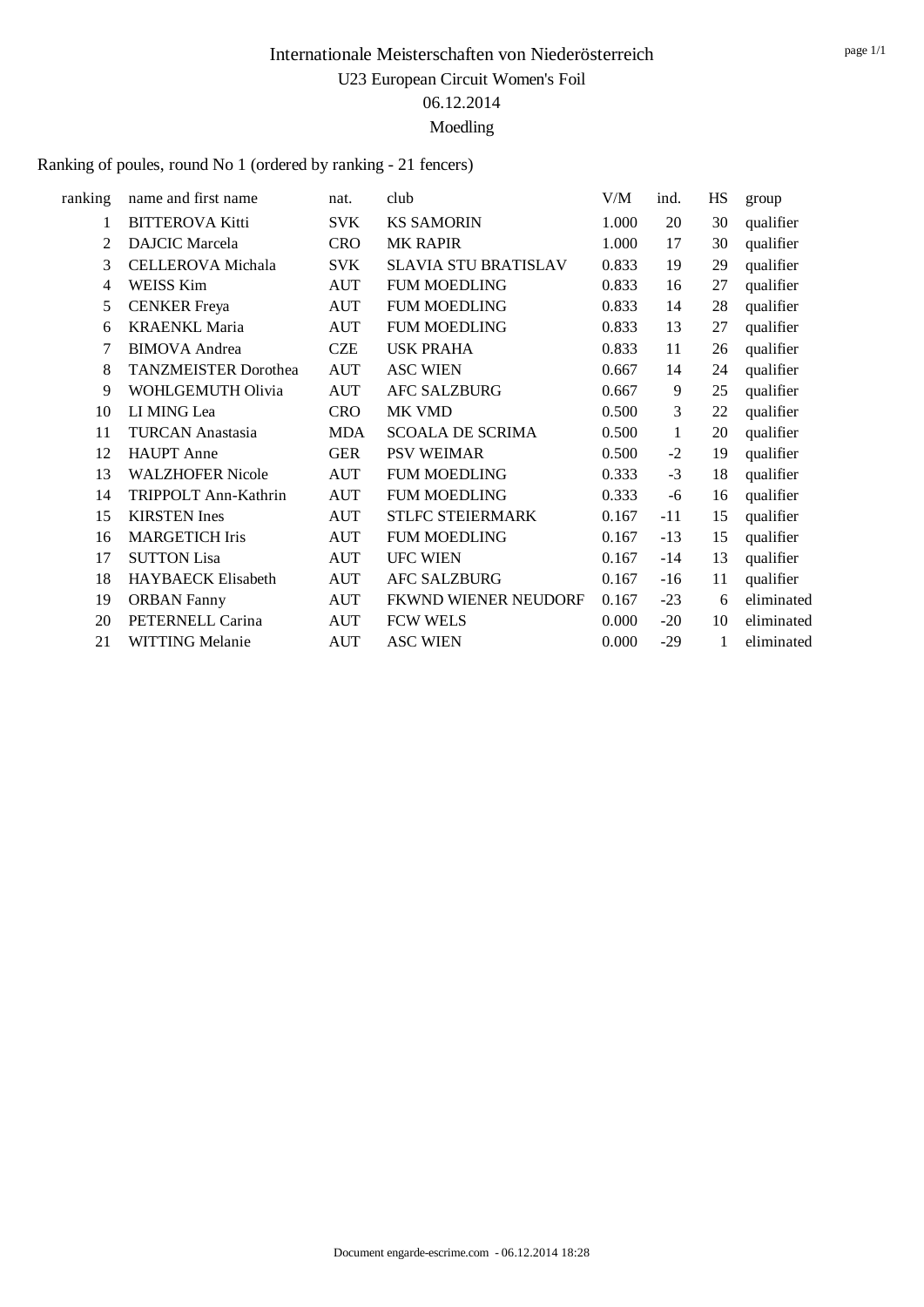Ranking of poules, round No 1 (ordered by ranking - 21 fencers)

| ranking | name and first name         | nat.       | club                        | V/M   | ind.  | HS | group      |
|---------|-----------------------------|------------|-----------------------------|-------|-------|----|------------|
| 1       | <b>BITTEROVA Kitti</b>      | <b>SVK</b> | <b>KS SAMORIN</b>           | 1.000 | 20    | 30 | qualifier  |
| 2       | <b>DAJCIC</b> Marcela       | <b>CRO</b> | <b>MK RAPIR</b>             | 1.000 | 17    | 30 | qualifier  |
| 3       | <b>CELLEROVA</b> Michala    | <b>SVK</b> | <b>SLAVIA STU BRATISLAV</b> | 0.833 | 19    | 29 | qualifier  |
| 4       | WEISS Kim                   | <b>AUT</b> | <b>FUM MOEDLING</b>         | 0.833 | 16    | 27 | qualifier  |
| 5       | <b>CENKER</b> Freya         | <b>AUT</b> | <b>FUM MOEDLING</b>         | 0.833 | 14    | 28 | qualifier  |
| 6       | <b>KRAENKL Maria</b>        | <b>AUT</b> | <b>FUM MOEDLING</b>         | 0.833 | 13    | 27 | qualifier  |
| 7       | <b>BIMOVA</b> Andrea        | <b>CZE</b> | <b>USK PRAHA</b>            | 0.833 | 11    | 26 | qualifier  |
| 8       | <b>TANZMEISTER Dorothea</b> | <b>AUT</b> | <b>ASC WIEN</b>             | 0.667 | 14    | 24 | qualifier  |
| 9       | WOHLGEMUTH Olivia           | <b>AUT</b> | <b>AFC SALZBURG</b>         | 0.667 | 9     | 25 | qualifier  |
| 10      | LI MING Lea                 | <b>CRO</b> | MK VMD                      | 0.500 | 3     | 22 | qualifier  |
| 11      | <b>TURCAN Anastasia</b>     | MDA        | <b>SCOALA DE SCRIMA</b>     | 0.500 | 1     | 20 | qualifier  |
| 12      | <b>HAUPT</b> Anne           | <b>GER</b> | <b>PSV WEIMAR</b>           | 0.500 | $-2$  | 19 | qualifier  |
| 13      | <b>WALZHOFER Nicole</b>     | <b>AUT</b> | <b>FUM MOEDLING</b>         | 0.333 | $-3$  | 18 | qualifier  |
| 14      | TRIPPOLT Ann-Kathrin        | <b>AUT</b> | <b>FUM MOEDLING</b>         | 0.333 | -6    | 16 | qualifier  |
| 15      | <b>KIRSTEN</b> Ines         | <b>AUT</b> | STLFC STEIERMARK            | 0.167 | $-11$ | 15 | qualifier  |
| 16      | <b>MARGETICH Iris</b>       | <b>AUT</b> | <b>FUM MOEDLING</b>         | 0.167 | $-13$ | 15 | qualifier  |
| 17      | <b>SUTTON Lisa</b>          | <b>AUT</b> | <b>UFC WIEN</b>             | 0.167 | $-14$ | 13 | qualifier  |
| 18      | HAYBAECK Elisabeth          | <b>AUT</b> | <b>AFC SALZBURG</b>         | 0.167 | $-16$ | 11 | qualifier  |
| 19      | <b>ORBAN Fanny</b>          | <b>AUT</b> | FKWND WIENER NEUDORF        | 0.167 | $-23$ | 6  | eliminated |
| 20      | PETERNELL Carina            | <b>AUT</b> | <b>FCW WELS</b>             | 0.000 | $-20$ | 10 | eliminated |
| 21      | <b>WITTING Melanie</b>      | <b>AUT</b> | <b>ASC WIEN</b>             | 0.000 | $-29$ | 1  | eliminated |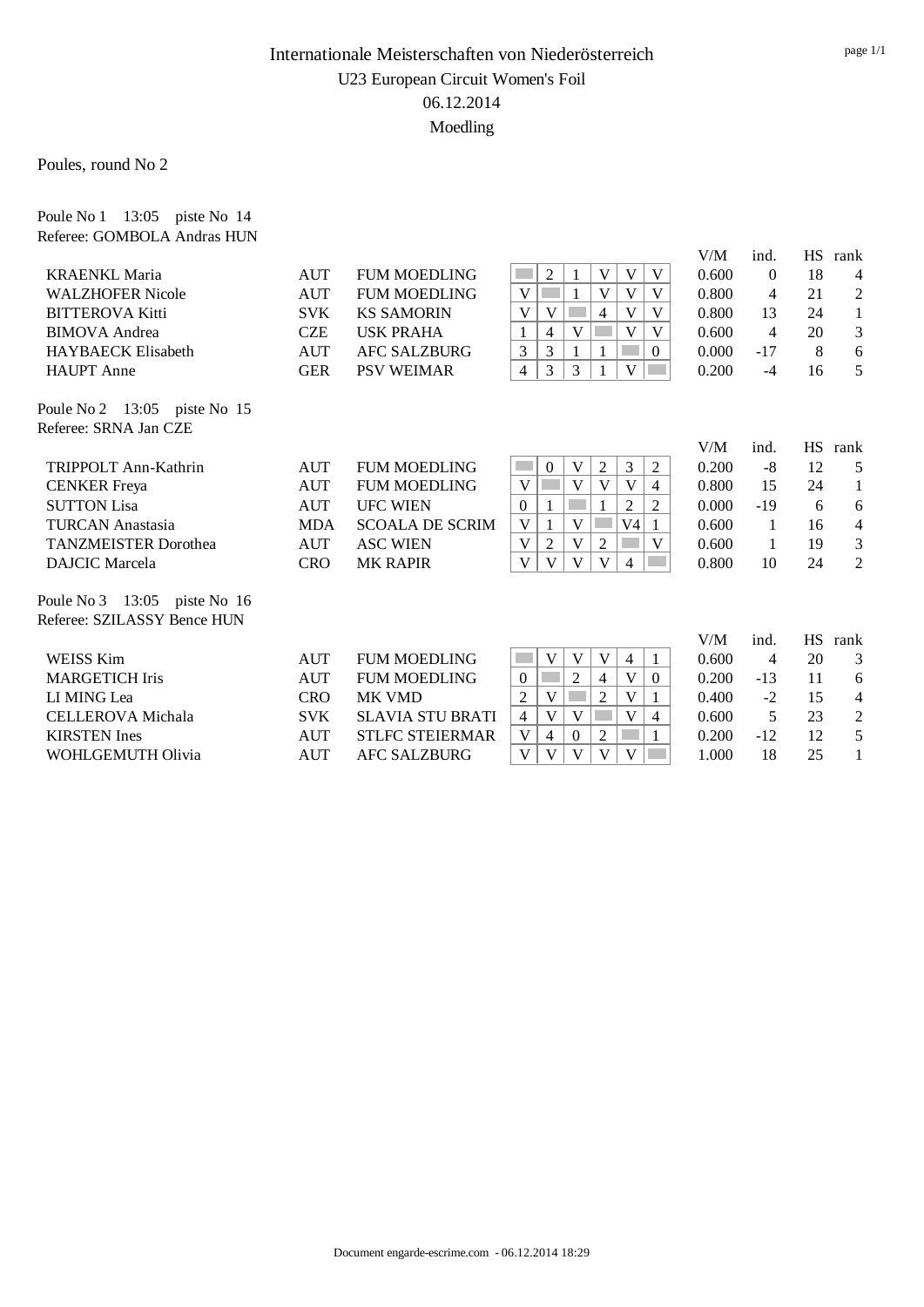Poules, round No 2

Poule No 1 13:05 piste No 14

| Referee: GOMBOLA Andras HUN  |            |                         |                                                                                       |       |                |           |                |
|------------------------------|------------|-------------------------|---------------------------------------------------------------------------------------|-------|----------------|-----------|----------------|
|                              |            |                         |                                                                                       | V/M   | ind.           | <b>HS</b> | rank           |
| <b>KRAENKL Maria</b>         | AUT        | <b>FUM MOEDLING</b>     | V<br>2<br>V<br>V<br><b>College</b>                                                    | 0.600 | $\Omega$       | 18        | 4              |
| <b>WALZHOFER Nicole</b>      | AUT        | <b>FUM MOEDLING</b>     | V<br>V<br>V<br>V                                                                      | 0.800 | $\overline{4}$ | 21        | $\overline{2}$ |
| <b>BITTEROVA Kitti</b>       | <b>SVK</b> | <b>KS SAMORIN</b>       | V<br>V<br>$\overline{4}$<br>V<br>V                                                    | 0.800 | 13             | 24        | $\mathbf{1}$   |
| <b>BIMOVA</b> Andrea         | <b>CZE</b> | <b>USK PRAHA</b>        | V<br>V<br>V<br>$\overline{4}$                                                         | 0.600 | $\overline{4}$ | 20        | 3              |
| <b>HAYBAECK Elisabeth</b>    | <b>AUT</b> | <b>AFC SALZBURG</b>     | 3<br>3<br>$\Omega$<br>$\mathbf{1}$                                                    | 0.000 | $-17$          | 8         | 6              |
| <b>HAUPT</b> Anne            | <b>GER</b> | <b>PSV WEIMAR</b>       | 3<br>$\overline{4}$<br>3<br>V                                                         | 0.200 | $-4$           | 16        | 5              |
| Poule No 2 13:05 piste No 15 |            |                         |                                                                                       |       |                |           |                |
| Referee: SRNA Jan CZE        |            |                         |                                                                                       |       |                |           |                |
|                              |            |                         |                                                                                       | V/M   | ind.           | <b>HS</b> | rank           |
| TRIPPOLT Ann-Kathrin         | AUT        | <b>FUM MOEDLING</b>     | V<br>$\overline{2}$<br>3<br>$\mathbf{0}$<br>$\overline{2}$                            | 0.200 | $-8$           | 12        | 5              |
| <b>CENKER</b> Freya          | <b>AUT</b> | <b>FUM MOEDLING</b>     | V<br>V<br>V<br>V<br>4                                                                 | 0.800 | 15             | 24        | 1              |
| <b>SUTTON Lisa</b>           | AUT        | <b>UFC WIEN</b>         | $\overline{2}$<br>2<br>$\overline{0}$<br>1                                            | 0.000 | $-19$          | 6         | 6              |
| <b>TURCAN Anastasia</b>      | <b>MDA</b> | <b>SCOALA DE SCRIM</b>  | $\mathbf{1}$<br>V<br>V4<br>V<br>1                                                     | 0.600 | 1              | 16        | $\overline{4}$ |
| <b>TANZMEISTER Dorothea</b>  | <b>AUT</b> | <b>ASC WIEN</b>         | $\overline{V}$<br>V<br>$\overline{2}$<br>$\overline{2}$<br>V                          | 0.600 | $\mathbf{1}$   | 19        | 3              |
| <b>DAJCIC</b> Marcela        | <b>CRO</b> | <b>MK RAPIR</b>         | V<br>V<br>$\mathbf{V}$<br>$\mathbf{V}$<br>4                                           | 0.800 | 10             | 24        | $\overline{2}$ |
| Poule No 3 13:05 piste No 16 |            |                         |                                                                                       |       |                |           |                |
| Referee: SZILASSY Bence HUN  |            |                         |                                                                                       |       |                |           |                |
|                              |            |                         |                                                                                       | V/M   | ind.           | <b>HS</b> | rank           |
| <b>WEISS Kim</b>             | <b>AUT</b> | <b>FUM MOEDLING</b>     | $\mathcal{L}^{\text{max}}$<br>V<br>$\mathbf V$<br>V<br>$\overline{4}$<br>$\mathbf{1}$ | 0.600 | $\overline{4}$ | 20        | 3              |
| <b>MARGETICH Iris</b>        | AUT        | <b>FUM MOEDLING</b>     | $\overline{2}$<br>$\overline{4}$<br>V<br>$\overline{0}$<br>$\Omega$                   | 0.200 | $-13$          | 11        | 6              |
| LI MING Lea                  | <b>CRO</b> | <b>MK VMD</b>           | V<br>$\overline{2}$<br>$\overline{c}$<br>V                                            | 0.400 | $-2$           | 15        | 4              |
| CELLEROVA Michala            | <b>SVK</b> | <b>SLAVIA STU BRATI</b> | V<br>V<br>$\overline{4}$<br>V<br>4                                                    | 0.600 | 5              | 23        | $\mathfrak{2}$ |
| <b>KIRSTEN</b> Ines          | AUT        | <b>STLFC STEIERMAR</b>  | V<br>$\overline{2}$<br>$\overline{4}$<br>$\overline{0}$<br>1                          | 0.200 | $-12$          | 12        | 5              |
| WOHLGEMUTH Olivia            | <b>AUT</b> | <b>AFC SALZBURG</b>     | V<br>V<br>V<br>V<br>V                                                                 | 1.000 | 18             | 25        | 1              |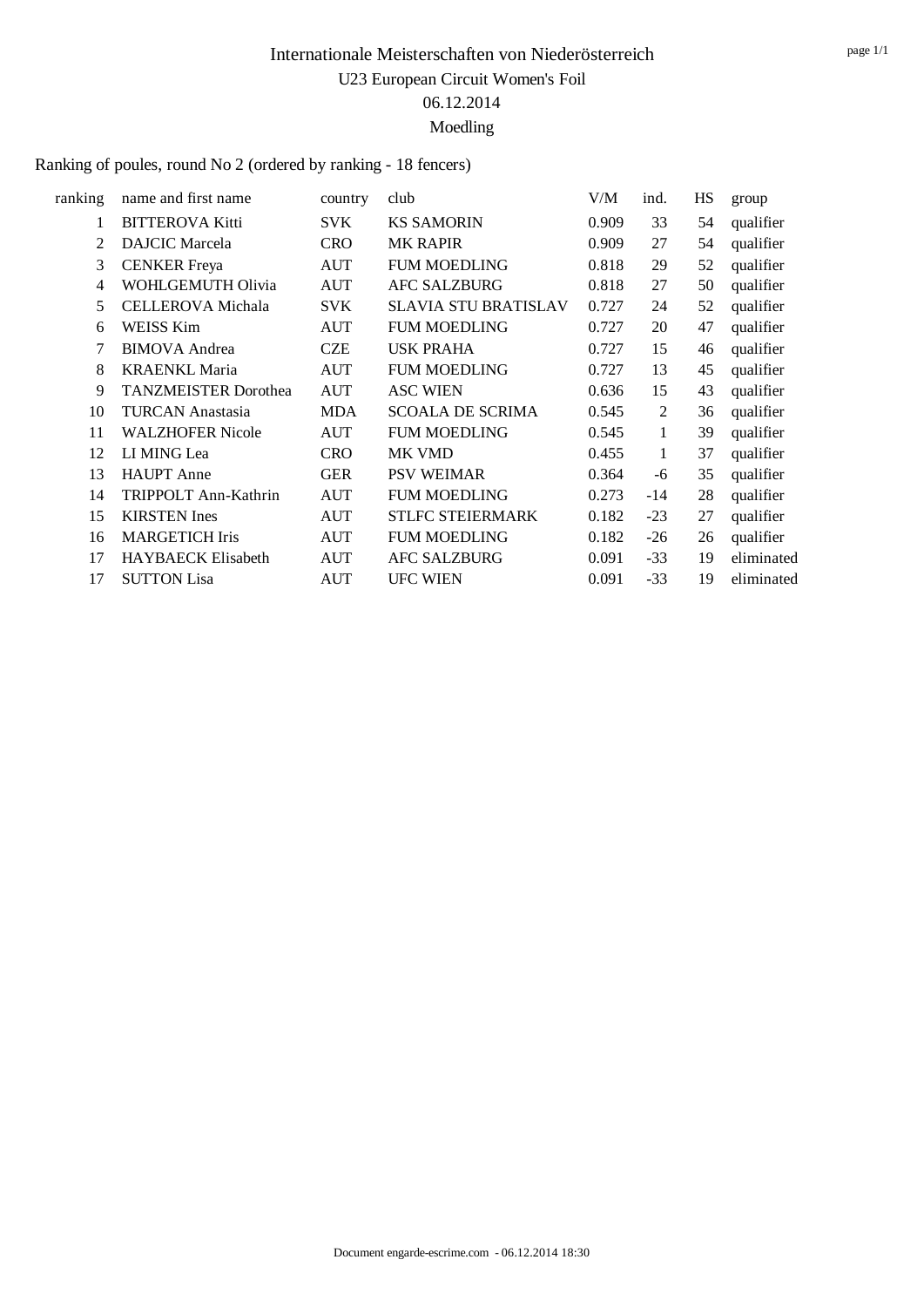Ranking of poules, round No 2 (ordered by ranking - 18 fencers)

| ranking | name and first name         | country    | club                        | V/M   | ind.  | HS | group      |
|---------|-----------------------------|------------|-----------------------------|-------|-------|----|------------|
| 1       | <b>BITTEROVA Kitti</b>      | <b>SVK</b> | <b>KS SAMORIN</b>           | 0.909 | 33    | 54 | qualifier  |
| 2       | <b>DAJCIC</b> Marcela       | <b>CRO</b> | <b>MK RAPIR</b>             | 0.909 | 27    | 54 | qualifier  |
| 3       | <b>CENKER</b> Freya         | <b>AUT</b> | <b>FUM MOEDLING</b>         | 0.818 | 29    | 52 | qualifier  |
| 4       | WOHLGEMUTH Olivia           | <b>AUT</b> | <b>AFC SALZBURG</b>         | 0.818 | 27    | 50 | qualifier  |
| 5       | CELLEROVA Michala           | <b>SVK</b> | <b>SLAVIA STU BRATISLAV</b> | 0.727 | 24    | 52 | qualifier  |
| 6       | <b>WEISS Kim</b>            | <b>AUT</b> | <b>FUM MOEDLING</b>         | 0.727 | 20    | 47 | qualifier  |
| 7       | <b>BIMOVA</b> Andrea        | <b>CZE</b> | <b>USK PRAHA</b>            | 0.727 | 15    | 46 | qualifier  |
| 8       | <b>KRAENKL Maria</b>        | <b>AUT</b> | <b>FUM MOEDLING</b>         | 0.727 | 13    | 45 | qualifier  |
| 9       | <b>TANZMEISTER Dorothea</b> | <b>AUT</b> | <b>ASC WIEN</b>             | 0.636 | 15    | 43 | qualifier  |
| 10      | <b>TURCAN Anastasia</b>     | <b>MDA</b> | <b>SCOALA DE SCRIMA</b>     | 0.545 | 2     | 36 | qualifier  |
| 11      | <b>WALZHOFER Nicole</b>     | <b>AUT</b> | <b>FUM MOEDLING</b>         | 0.545 | 1     | 39 | qualifier  |
| 12      | LI MING Lea                 | <b>CRO</b> | MK VMD                      | 0.455 | 1     | 37 | qualifier  |
| 13      | <b>HAUPT</b> Anne           | <b>GER</b> | <b>PSV WEIMAR</b>           | 0.364 | -6    | 35 | qualifier  |
| 14      | TRIPPOLT Ann-Kathrin        | <b>AUT</b> | <b>FUM MOEDLING</b>         | 0.273 | $-14$ | 28 | qualifier  |
| 15      | <b>KIRSTEN</b> Ines         | <b>AUT</b> | <b>STLFC STEIERMARK</b>     | 0.182 | $-23$ | 27 | qualifier  |
| 16      | <b>MARGETICH Iris</b>       | <b>AUT</b> | <b>FUM MOEDLING</b>         | 0.182 | $-26$ | 26 | qualifier  |
| 17      | <b>HAYBAECK Elisabeth</b>   | <b>AUT</b> | <b>AFC SALZBURG</b>         | 0.091 | $-33$ | 19 | eliminated |
| 17      | <b>SUTTON Lisa</b>          | <b>AUT</b> | <b>UFC WIEN</b>             | 0.091 | $-33$ | 19 | eliminated |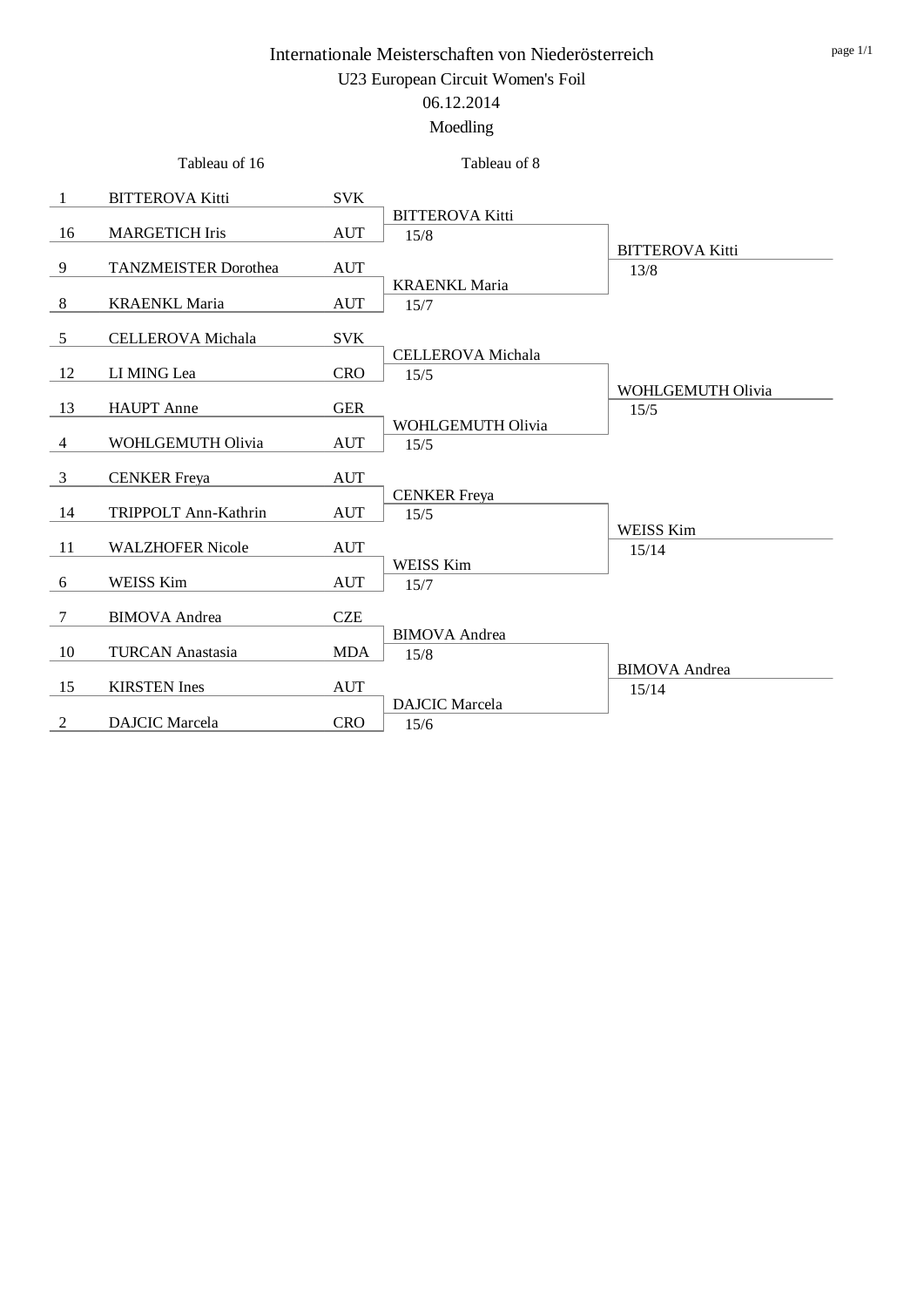|    | Tableau of 16               |            | Tableau of 8                     |                                |
|----|-----------------------------|------------|----------------------------------|--------------------------------|
| -1 | <b>BITTEROVA Kitti</b>      | <b>SVK</b> |                                  |                                |
| 16 | <b>MARGETICH Iris</b>       | <b>AUT</b> | <b>BITTEROVA Kitti</b><br>15/8   |                                |
| 9  | <b>TANZMEISTER Dorothea</b> | <b>AUT</b> |                                  | <b>BITTEROVA Kitti</b><br>13/8 |
| 8  | <b>KRAENKL Maria</b>        | <b>AUT</b> | <b>KRAENKL Maria</b><br>15/7     |                                |
| 5  | <b>CELLEROVA</b> Michala    | <b>SVK</b> |                                  |                                |
| 12 | LI MING Lea                 | <b>CRO</b> | <b>CELLEROVA</b> Michala<br>15/5 |                                |
| 13 | <b>HAUPT</b> Anne           | <b>GER</b> |                                  | WOHLGEMUTH Olivia<br>15/5      |
| 4  | WOHLGEMUTH Olivia           | AUT        | WOHLGEMUTH Olivia<br>15/5        |                                |
| 3  | <b>CENKER</b> Freya         | <b>AUT</b> |                                  |                                |
| 14 | TRIPPOLT Ann-Kathrin        | <b>AUT</b> | <b>CENKER</b> Freya<br>15/5      | <b>WEISS Kim</b>               |
| 11 | <b>WALZHOFER Nicole</b>     | <b>AUT</b> | <b>WEISS Kim</b>                 | 15/14                          |
| 6  | WEISS Kim                   | AUT        | 15/7                             |                                |
| 7  | <b>BIMOVA</b> Andrea        | <b>CZE</b> |                                  |                                |
| 10 | <b>TURCAN Anastasia</b>     | <b>MDA</b> | <b>BIMOVA</b> Andrea<br>15/8     |                                |
| 15 | <b>KIRSTEN</b> Ines         | <b>AUT</b> |                                  | <b>BIMOVA</b> Andrea<br>15/14  |
| 2  | <b>DAJCIC</b> Marcela       | <b>CRO</b> | <b>DAJCIC</b> Marcela<br>15/6    |                                |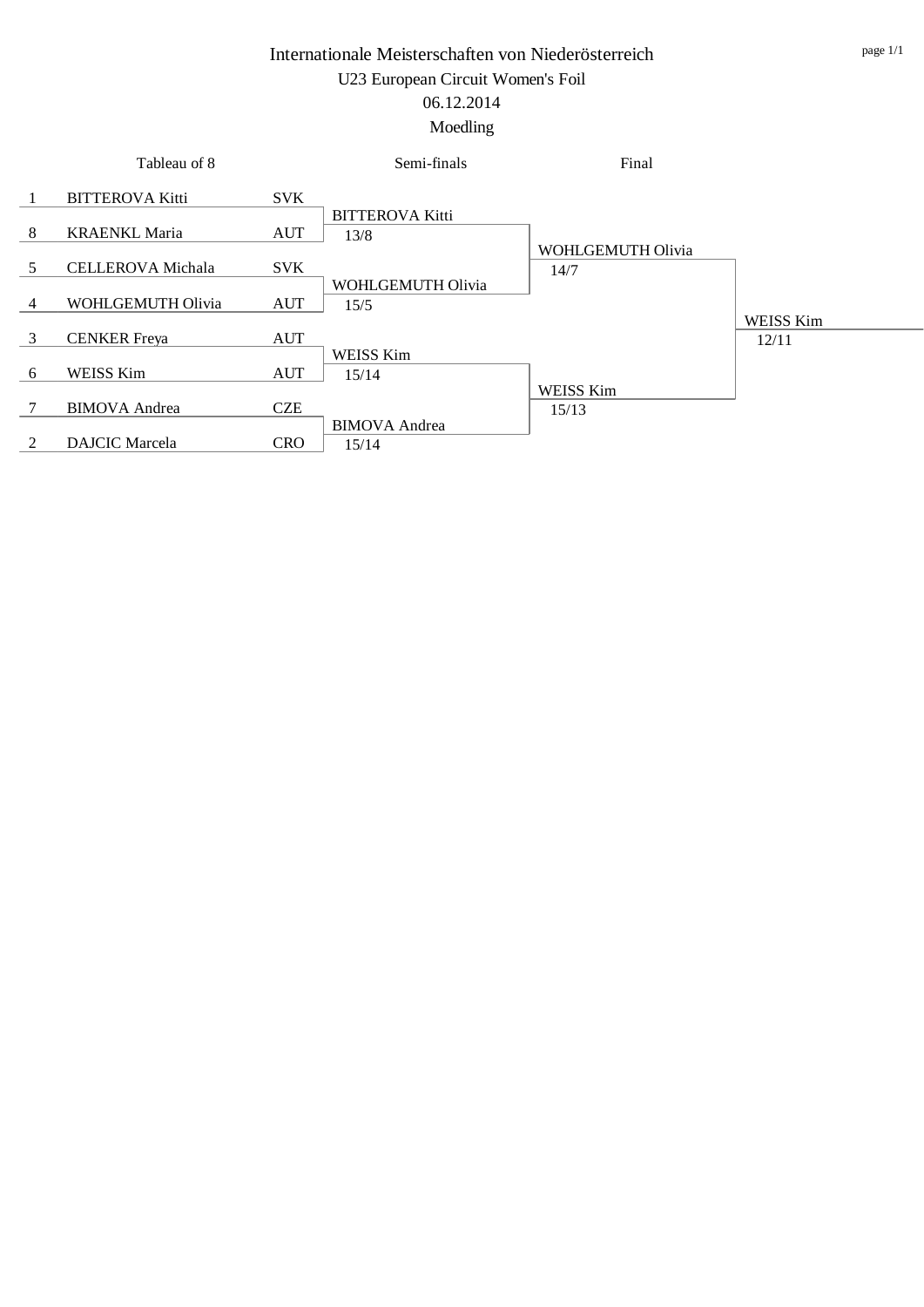#### Moedling

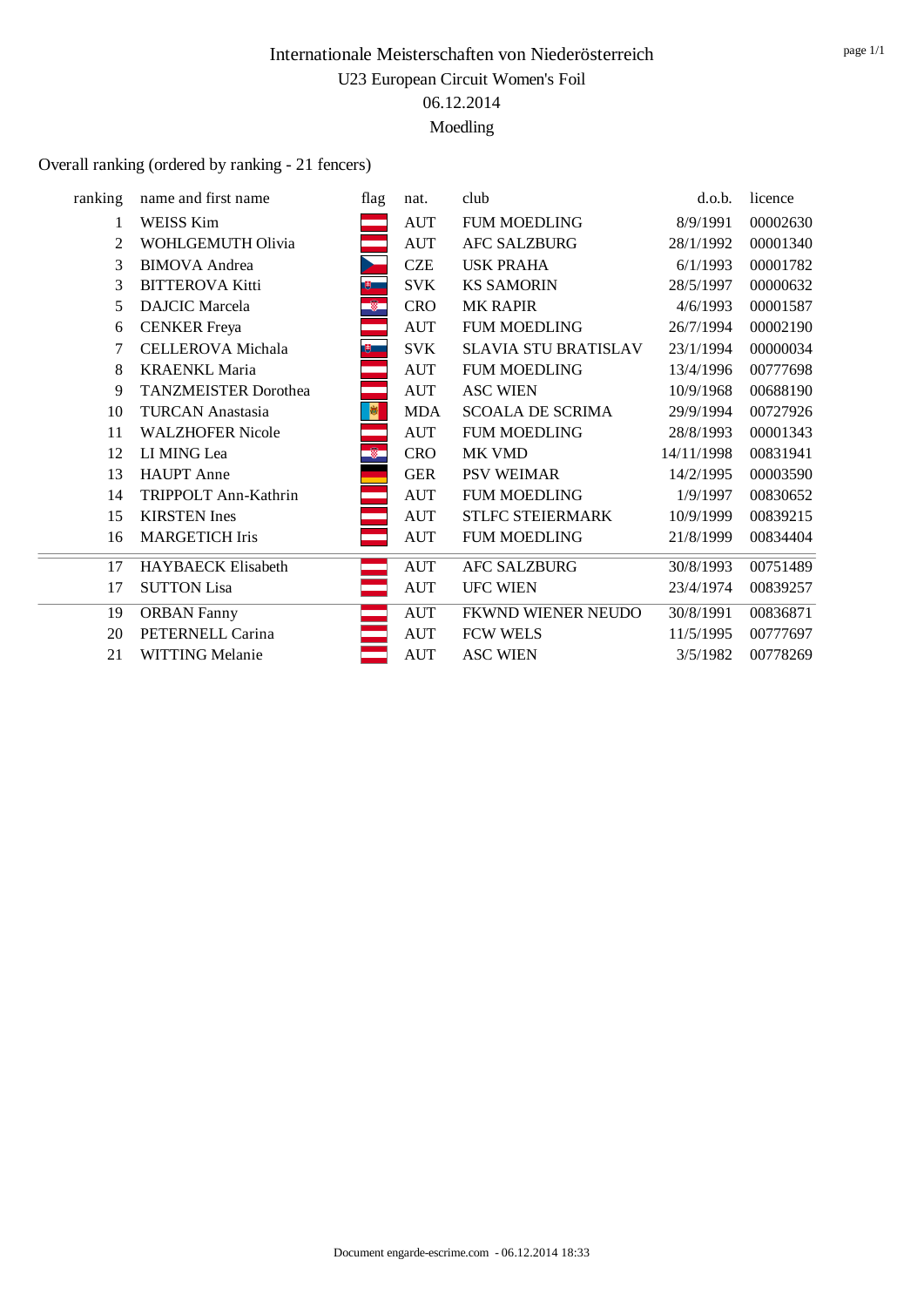#### Overall ranking (ordered by ranking - 21 fencers)

| ranking | name and first name         | flag           | nat.       | club                        | d.o.b.     | licence  |
|---------|-----------------------------|----------------|------------|-----------------------------|------------|----------|
| 1       | WEISS Kim                   |                | <b>AUT</b> | <b>FUM MOEDLING</b>         | 8/9/1991   | 00002630 |
| 2       | WOHLGEMUTH Olivia           |                | <b>AUT</b> | <b>AFC SALZBURG</b>         | 28/1/1992  | 00001340 |
| 3       | <b>BIMOVA</b> Andrea        |                | <b>CZE</b> | <b>USK PRAHA</b>            | 6/1/1993   | 00001782 |
| 3       | <b>BITTEROVA Kitti</b>      | $\mathbb{B}$   | <b>SVK</b> | <b>KS SAMORIN</b>           | 28/5/1997  | 00000632 |
| 5       | <b>DAJCIC</b> Marcela       | $\circledast$  | <b>CRO</b> | <b>MK RAPIR</b>             | 4/6/1993   | 00001587 |
| 6       | <b>CENKER</b> Freya         |                | <b>AUT</b> | <b>FUM MOEDLING</b>         | 26/7/1994  | 00002190 |
| 7       | <b>CELLEROVA</b> Michala    | 电二             | <b>SVK</b> | <b>SLAVIA STU BRATISLAV</b> | 23/1/1994  | 00000034 |
| 8       | <b>KRAENKL Maria</b>        | <u>a sa Ba</u> | <b>AUT</b> | <b>FUM MOEDLING</b>         | 13/4/1996  | 00777698 |
| 9       | <b>TANZMEISTER Dorothea</b> |                | <b>AUT</b> | <b>ASC WIEN</b>             | 10/9/1968  | 00688190 |
| 10      | <b>TURCAN Anastasia</b>     | ø              | <b>MDA</b> | <b>SCOALA DE SCRIMA</b>     | 29/9/1994  | 00727926 |
| 11      | <b>WALZHOFER Nicole</b>     |                | <b>AUT</b> | <b>FUM MOEDLING</b>         | 28/8/1993  | 00001343 |
| 12      | LI MING Lea                 | $\circledast$  | <b>CRO</b> | MK VMD                      | 14/11/1998 | 00831941 |
| 13      | <b>HAUPT</b> Anne           |                | <b>GER</b> | <b>PSV WEIMAR</b>           | 14/2/1995  | 00003590 |
| 14      | TRIPPOLT Ann-Kathrin        |                | <b>AUT</b> | <b>FUM MOEDLING</b>         | 1/9/1997   | 00830652 |
| 15      | <b>KIRSTEN</b> Ines         | <b>STATE</b>   | <b>AUT</b> | <b>STLFC STEIERMARK</b>     | 10/9/1999  | 00839215 |
| 16      | <b>MARGETICH Iris</b>       |                | <b>AUT</b> | <b>FUM MOEDLING</b>         | 21/8/1999  | 00834404 |
| 17      | <b>HAYBAECK Elisabeth</b>   |                | <b>AUT</b> | <b>AFC SALZBURG</b>         | 30/8/1993  | 00751489 |
| 17      | <b>SUTTON Lisa</b>          |                | <b>AUT</b> | <b>UFC WIEN</b>             | 23/4/1974  | 00839257 |
| 19      | <b>ORBAN Fanny</b>          |                | <b>AUT</b> | FKWND WIENER NEUDO          | 30/8/1991  | 00836871 |
| 20      | PETERNELL Carina            |                | <b>AUT</b> | <b>FCW WELS</b>             | 11/5/1995  | 00777697 |
| 21      | <b>WITTING Melanie</b>      |                | <b>AUT</b> | <b>ASC WIEN</b>             | 3/5/1982   | 00778269 |